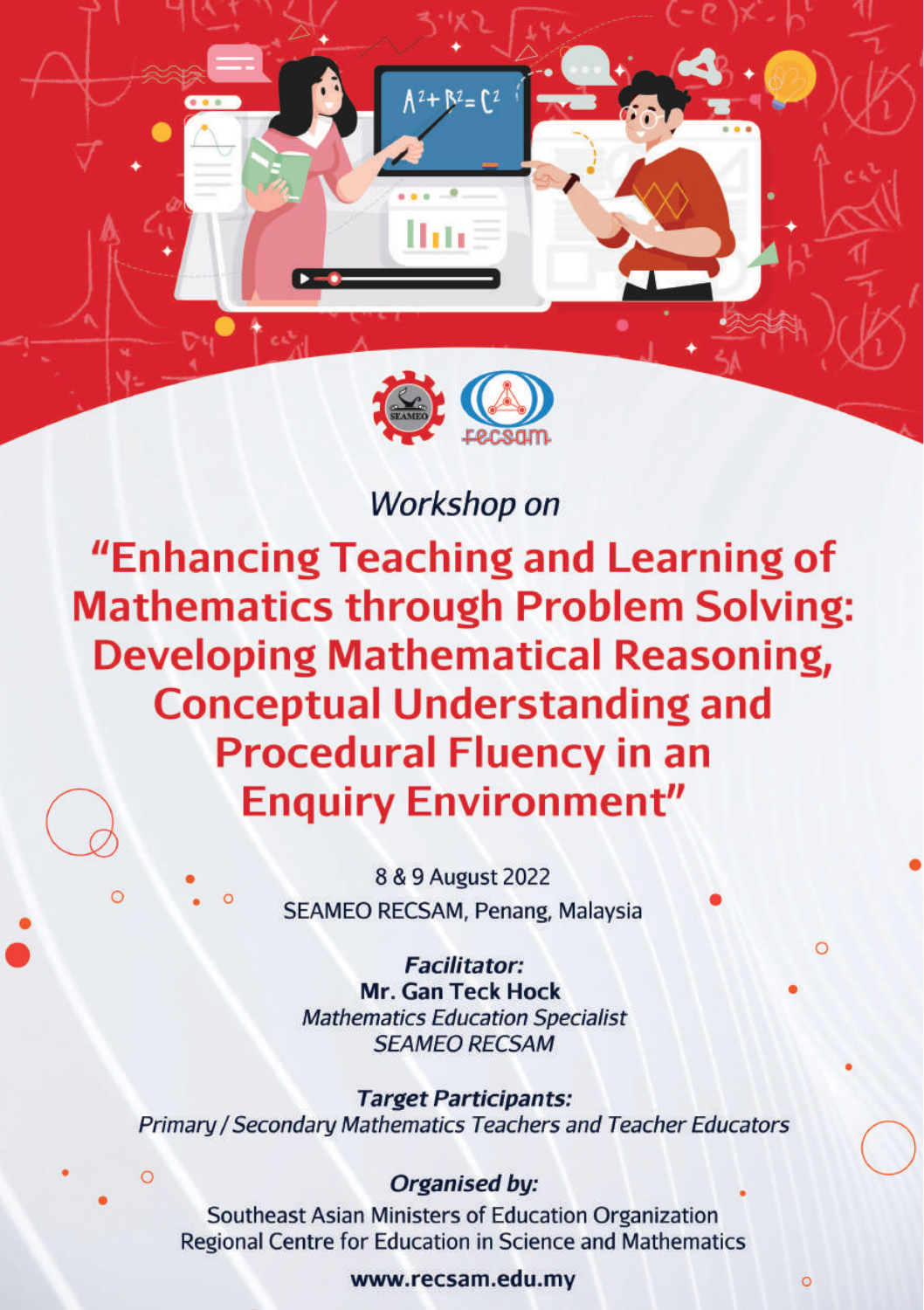

# Workshop on

"Enhancing Teaching and Learning of **Mathematics through Problem Solving: Developing Mathematical Reasoning, Conceptual Understanding and Procedural Fluency in an Enquiry Environment"** 

> 8 & 9 August 2022 SEAMEO RECSAM, Penang, Malaysia

**Facilitator: Mr. Gan Teck Hock Mathematics Education Specialist SFAMEO RECSAM** 

**Target Participants:** Primary / Secondary Mathematics Teachers and Teacher Educators

# Organised by:

Southeast Asian Ministers of Education Organization Regional Centre for Education in Science and Mathematics

#### www.recsam.edu.mv

 $\circ$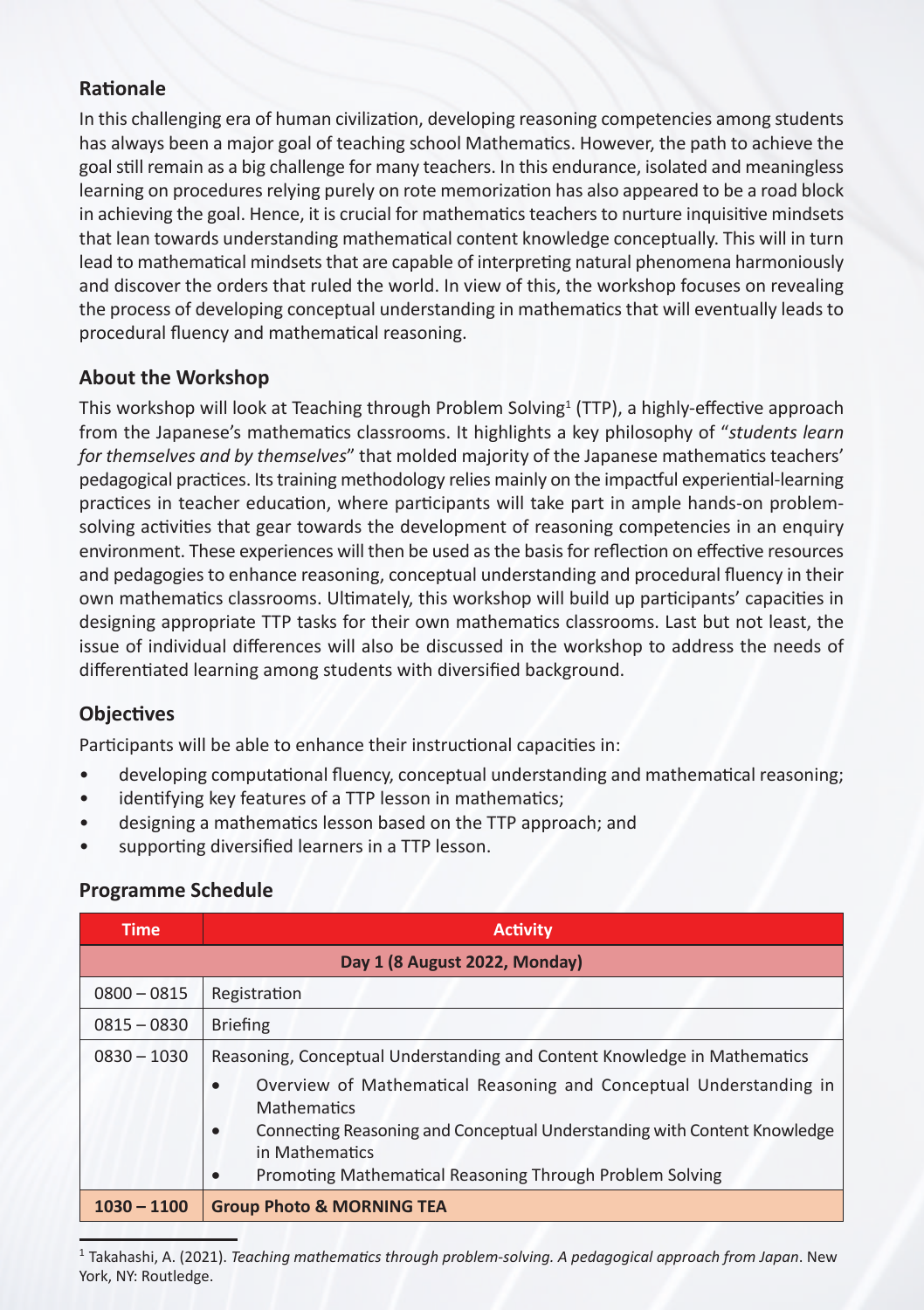## **Rationale**

In this challenging era of human civilization, developing reasoning competencies among students has always been a major goal of teaching school Mathematics. However, the path to achieve the goal still remain as a big challenge for many teachers. In this endurance, isolated and meaningless learning on procedures relying purely on rote memorization has also appeared to be a road block in achieving the goal. Hence, it is crucial for mathematics teachers to nurture inquisitive mindsets that lean towards understanding mathematical content knowledge conceptually. This will in turn lead to mathematical mindsets that are capable of interpreting natural phenomena harmoniously and discover the orders that ruled the world. In view of this, the workshop focuses on revealing the process of developing conceptual understanding in mathematics that will eventually leads to procedural fluency and mathematical reasoning.

## **About the Workshop**

This workshop will look at Teaching through Problem Solving<sup>1</sup> (TTP), a highly-effective approach from the Japanese's mathematics classrooms. It highlights a key philosophy of "*students learn for themselves and by themselves*" that molded majority of the Japanese mathematics teachers' pedagogical practices. Its training methodology relies mainly on the impactful experiential-learning practices in teacher education, where participants will take part in ample hands-on problemsolving activities that gear towards the development of reasoning competencies in an enquiry environment. These experiences will then be used as the basis for reflection on effective resources and pedagogies to enhance reasoning, conceptual understanding and procedural fluency in their own mathematics classrooms. Ultimately, this workshop will build up participants' capacities in designing appropriate TTP tasks for their own mathematics classrooms. Last but not least, the issue of individual differences will also be discussed in the workshop to address the needs of differentiated learning among students with diversified background.

# **Objectives**

Participants will be able to enhance their instructional capacities in:

- developing computational fluency, conceptual understanding and mathematical reasoning;
- identifying key features of a TTP lesson in mathematics;
- designing a mathematics lesson based on the TTP approach; and
- supporting diversified learners in a TTP lesson.

## **Programme Schedule**

| <b>Time</b>                   | <b>Activity</b>                                                                                                                                                                                                                                               |  |  |
|-------------------------------|---------------------------------------------------------------------------------------------------------------------------------------------------------------------------------------------------------------------------------------------------------------|--|--|
| Day 1 (8 August 2022, Monday) |                                                                                                                                                                                                                                                               |  |  |
| $0800 - 0815$                 | Registration                                                                                                                                                                                                                                                  |  |  |
| $0815 - 0830$                 | <b>Briefing</b>                                                                                                                                                                                                                                               |  |  |
| $0830 - 1030$                 | Reasoning, Conceptual Understanding and Content Knowledge in Mathematics                                                                                                                                                                                      |  |  |
|                               | Overview of Mathematical Reasoning and Conceptual Understanding in<br>٠<br>Mathematics<br>Connecting Reasoning and Conceptual Understanding with Content Knowledge<br>$\bullet$<br>in Mathematics<br>Promoting Mathematical Reasoning Through Problem Solving |  |  |
| $1030 - 1100$                 | <b>Group Photo &amp; MORNING TEA</b>                                                                                                                                                                                                                          |  |  |

<sup>1</sup> Takahashi, A. (2021). *Teaching mathematics through problem-solving. A pedagogical approach from Japan*. New York, NY: Routledge.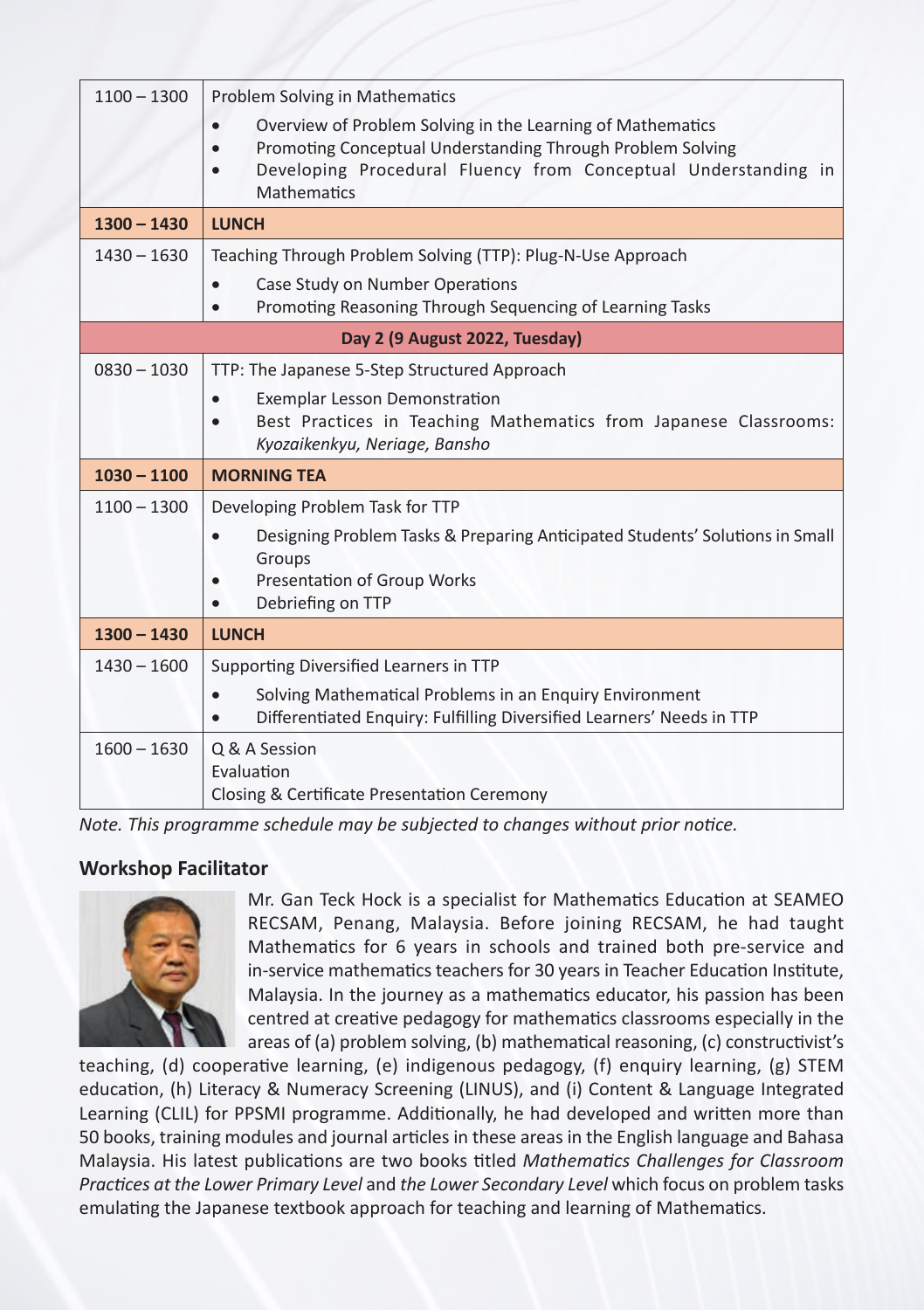| $1100 - 1300$                  | <b>Problem Solving in Mathematics</b><br>Overview of Problem Solving in the Learning of Mathematics<br>Promoting Conceptual Understanding Through Problem Solving<br>Developing Procedural Fluency from Conceptual Understanding in<br><b>Mathematics</b> |  |  |  |
|--------------------------------|-----------------------------------------------------------------------------------------------------------------------------------------------------------------------------------------------------------------------------------------------------------|--|--|--|
| $1300 - 1430$                  | <b>LUNCH</b>                                                                                                                                                                                                                                              |  |  |  |
| $1430 - 1630$                  | Teaching Through Problem Solving (TTP): Plug-N-Use Approach<br>Case Study on Number Operations<br>$\bullet$<br>Promoting Reasoning Through Sequencing of Learning Tasks                                                                                   |  |  |  |
| Day 2 (9 August 2022, Tuesday) |                                                                                                                                                                                                                                                           |  |  |  |
| $0830 - 1030$                  | TTP: The Japanese 5-Step Structured Approach                                                                                                                                                                                                              |  |  |  |
|                                | <b>Exemplar Lesson Demonstration</b><br>Best Practices in Teaching Mathematics from Japanese Classrooms:<br>Kyozaikenkyu, Neriage, Bansho                                                                                                                 |  |  |  |
| $1030 - 1100$                  | <b>MORNING TEA</b>                                                                                                                                                                                                                                        |  |  |  |
| $1100 - 1300$                  | Developing Problem Task for TTP<br>Designing Problem Tasks & Preparing Anticipated Students' Solutions in Small<br>Groups<br>Presentation of Group Works<br>Debriefing on TTP                                                                             |  |  |  |
| $1300 - 1430$                  | <b>LUNCH</b>                                                                                                                                                                                                                                              |  |  |  |
| $1430 - 1600$                  | Supporting Diversified Learners in TTP                                                                                                                                                                                                                    |  |  |  |
|                                | Solving Mathematical Problems in an Enquiry Environment<br>Differentiated Enguiry: Fulfilling Diversified Learners' Needs in TTP                                                                                                                          |  |  |  |
| $1600 - 1630$                  | Q & A Session<br>Evaluation<br>Closing & Certificate Presentation Ceremony                                                                                                                                                                                |  |  |  |

*Note. This programme schedule may be subjected to changes without prior notice.*

## **Workshop Facilitator**



Mr. Gan Teck Hock is a specialist for Mathematics Education at SEAMEO RECSAM, Penang, Malaysia. Before joining RECSAM, he had taught Mathematics for 6 years in schools and trained both pre-service and in-service mathematics teachers for 30 years in Teacher Education Institute, Malaysia. In the journey as a mathematics educator, his passion has been centred at creative pedagogy for mathematics classrooms especially in the areas of (a) problem solving, (b) mathematical reasoning, (c) constructivist's

teaching, (d) cooperative learning, (e) indigenous pedagogy, (f) enquiry learning, (g) STEM education, (h) Literacy & Numeracy Screening (LINUS), and (i) Content & Language Integrated Learning (CLIL) for PPSMI programme. Additionally, he had developed and written more than 50 books, training modules and journal articles in these areas in the English language and Bahasa Malaysia. His latest publications are two books titled *Mathematics Challenges for Classroom Practices at the Lower Primary Level* and *the Lower Secondary Level* which focus on problem tasks emulating the Japanese textbook approach for teaching and learning of Mathematics.